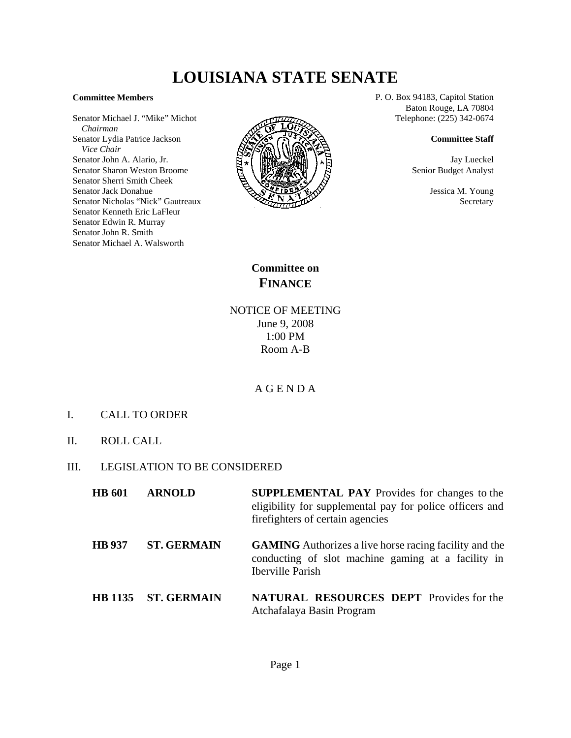## **LOUISIANA STATE SENATE**

## **Committee Members**

Senator Michael J. "Mike" Michot  *Chairman* Senator Lydia Patrice Jackson  *Vice Chair* Senator John A. Alario, Jr. Senator Sharon Weston Broome Senator Sherri Smith Cheek Senator Jack Donahue Senator Nicholas "Nick" Gautreaux Senator Kenneth Eric LaFleur Senator Edwin R. Murray Senator John R. Smith Senator Michael A. Walsworth



P. O. Box 94183, Capitol Station Baton Rouge, LA 70804 Telephone: (225) 342-0674

## **Committee Staff**

Jay Lueckel Senior Budget Analyst

> Jessica M. Young Secretary

**Committee on FINANCE**

NOTICE OF MEETING June 9, 2008 1:00 PM Room A-B

## A G E N D A

- I. CALL TO ORDER
- II. ROLL CALL
- III. LEGISLATION TO BE CONSIDERED

| <b>HB</b> 601 | <b>ARNOLD</b>       | <b>SUPPLEMENTAL PAY Provides for changes to the</b><br>eligibility for supplemental pay for police officers and<br>fire fighters of certain agencies |
|---------------|---------------------|------------------------------------------------------------------------------------------------------------------------------------------------------|
| <b>HB</b> 937 | <b>ST. GERMAIN</b>  | <b>GAMING</b> Authorizes a live horse racing facility and the<br>conducting of slot machine gaming at a facility in<br><b>Iberville Parish</b>       |
|               | HB 1135 ST. GERMAIN | <b>NATURAL RESOURCES DEPT</b> Provides for the<br>Atchafalaya Basin Program                                                                          |